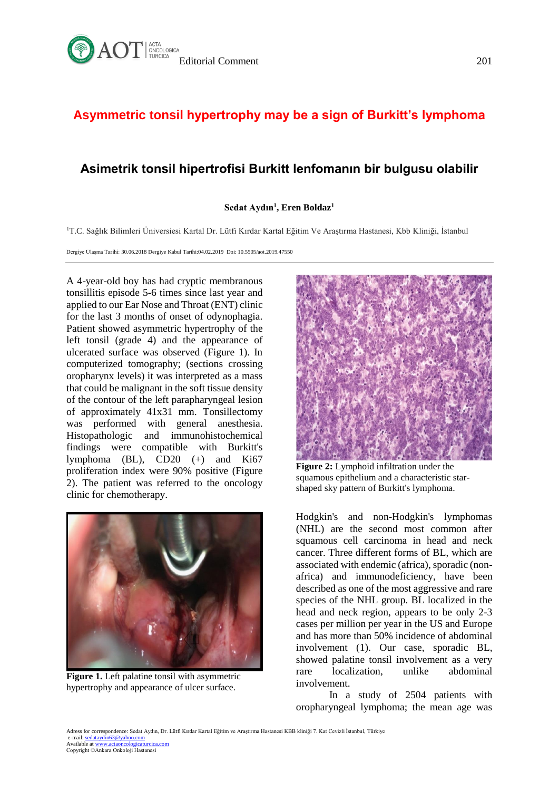

## **Asymmetric tonsil hypertrophy may be a sign of Burkitt's lymphoma**

## **Asimetrik tonsil hipertrofisi Burkitt lenfomanın bir bulgusu olabilir**

## **Sedat Aydın<sup>1</sup> , Eren Boldaz<sup>1</sup>**

<sup>1</sup>T.C. Sağlık Bilimleri Üniversiesi Kartal Dr. Lütfi Kırdar Kartal Eğitim Ve Araştırma Hastanesi, Kbb Kliniği, İstanbul

Dergiye Ulaşma Tarihi: 30.06.2018 Dergiye Kabul Tarihi:04.02.2019 Doi: 10.5505/aot.2019.47550

A 4-year-old boy has had cryptic membranous tonsillitis episode 5-6 times since last year and applied to our Ear Nose and Throat (ENT) clinic for the last 3 months of onset of odynophagia. Patient showed asymmetric hypertrophy of the left tonsil (grade 4) and the appearance of ulcerated surface was observed (Figure 1). In computerized tomography; (sections crossing oropharynx levels) it was interpreted as a mass that could be malignant in the soft tissue density of the contour of the left parapharyngeal lesion of approximately 41x31 mm. Tonsillectomy was performed with general anesthesia. Histopathologic and immunohistochemical findings were compatible with Burkitt's lymphoma (BL), CD20 (+) and Ki67 proliferation index were 90% positive (Figure 2). The patient was referred to the oncology clinic for chemotherapy.



**Figure 1.** Left palatine tonsil with asymmetric hypertrophy and appearance of ulcer surface.



**Figure 2:** Lymphoid infiltration under the squamous epithelium and a characteristic starshaped sky pattern of Burkitt's lymphoma.

Hodgkin's and non-Hodgkin's lymphomas (NHL) are the second most common after squamous cell carcinoma in head and neck cancer. Three different forms of BL, which are associated with endemic (africa), sporadic (nonafrica) and immunodeficiency, have been described as one of the most aggressive and rare species of the NHL group. BL localized in the head and neck region, appears to be only 2-3 cases per million per year in the US and Europe and has more than 50% incidence of abdominal involvement (1). Our case, sporadic BL, showed palatine tonsil involvement as a very rare localization, unlike abdominal involvement.

In a study of 2504 patients with oropharyngeal lymphoma; the mean age was